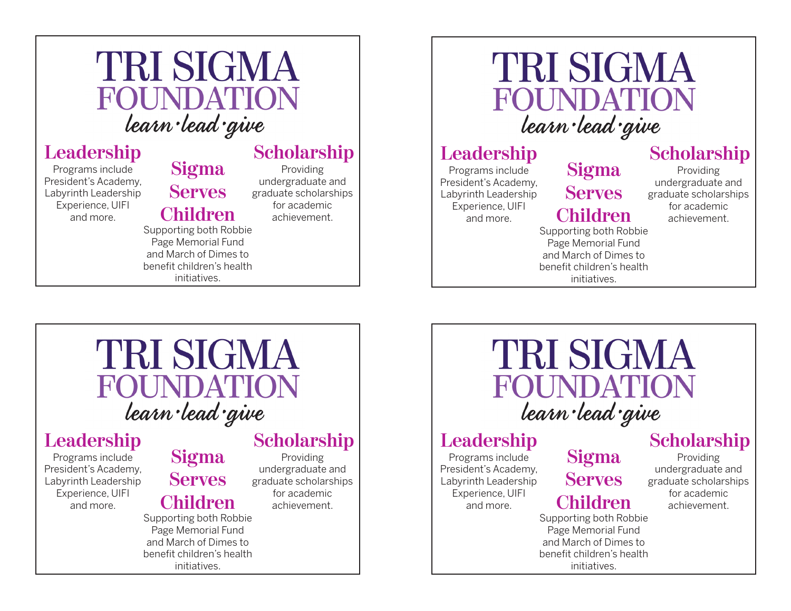## **TRI SIGMA** FOUNDATION learn lead give

# **Leadership Sigma**

Programs include President's Academy, Labyrinth Leadership Experience, UIFI and more.

### **Scholarship**

Providing undergraduate and graduate scholarships for academic achievement.

Supporting both Robbie Page Memorial Fund and March of Dimes to benefit children's health initiatives.

**Serves**

**Children**

## **TRI SIGMA** FOUNDATION learn lead give

## Leadership<br>Programs include Sigma

Programs include President's Academy, Labyrinth Leadership Experience, UIFI and more.

#### **Serves Children**

Supporting both Robbie Page Memorial Fund and March of Dimes to benefit children's health initiatives.

#### **Scholarship**

Providing undergraduate and graduate scholarships for academic achievement.

## **TRI SIGMA FOUNDATION** learn lead give

# Leadership<br>Programs include Sigma

Programs include President's Academy, Labyrinth Leadership Experience, UIFI and more.

## **Serves Children**

initiatives.

Supporting both Robbie Page Memorial Fund and March of Dimes to benefit children's health

#### **Scholarship**

Providing undergraduate and graduate scholarships for academic achievement.

**TRI SIGMA** FOUNDATION learn lead give

Programs include President's Academy, Labyrinth Leadership Experience, UIFI and more.

## Leadership<br>Programs include **Sigma Serves**

## **Children**

Providing undergraduate and graduate scholarships for academic achievement.

**Scholarship**

Supporting both Robbie Page Memorial Fund and March of Dimes to benefit children's health initiatives.